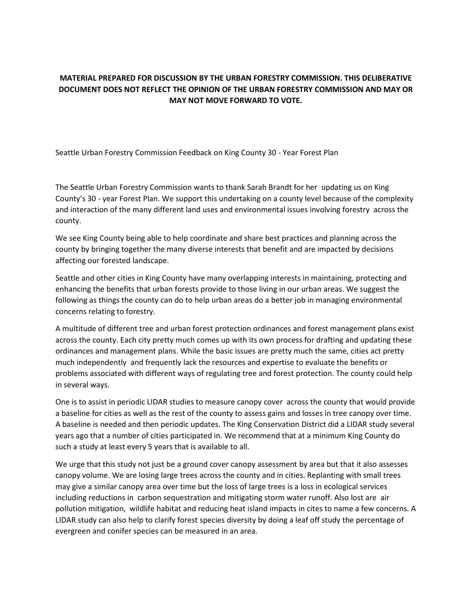## **MATERIAL PREPARED FOR DISCUSSION BY THE URBAN FORESTRY COMMISSION. THIS DELIBERATIVE DOCUMENT DOES NOT REFLECT THE OPINION OF THE URBAN FORESTRY COMMISSION AND MAY OR MAY NOT MOVE FORWARD TO VOTE.**

Seattle Urban Forestry Commission Feedback on King County 30 - Year Forest Plan

The Seattle Urban Forestry Commission wants to thank Sarah Brandt for her updating us on King County's 30 - year Forest Plan. We support this undertaking on a county level because of the complexity and interaction of the many different land uses and environmental issues involving forestry across the county.

We see King County being able to help coordinate and share best practices and planning across the county by bringing together the many diverse interests that benefit and are impacted by decisions affecting our forested landscape.

Seattle and other cities in King County have many overlapping interests in maintaining, protecting and enhancing the benefits that urban forests provide to those living in our urban areas. We suggest the following as things the county can do to help urban areas do a better job in managing environmental concerns relating to forestry.

A multitude of different tree and urban forest protection ordinances and forest management plans exist across the county. Each city pretty much comes up with its own process for drafting and updating these ordinances and management plans. While the basic issues are pretty much the same, cities act pretty much independently and frequently lack the resources and expertise to evaluate the benefits or problems associated with different ways of regulating tree and forest protection. The county could help in several ways.

One is to assist in periodic LIDAR studies to measure canopy cover across the county that would provide a baseline for cities as well as the rest of the county to assess gains and losses in tree canopy over time. A baseline is needed and then periodic updates. The King Conservation District did a LIDAR study several years ago that a number of cities participated in. We recommend that at a minimum King County do such a study at least every 5 years that is available to all.

We urge that this study not just be a ground cover canopy assessment by area but that it also assesses canopy volume. We are losing large trees across the county and in cities. Replanting with small trees may give a similar canopy area over time but the loss of large trees is a loss in ecological services including reductions in carbon sequestration and mitigating storm water runoff. Also lost are air pollution mitigation, wildlife habitat and reducing heat island impacts in cites to name a few concerns. A LIDAR study can also help to clarify forest species diversity by doing a leaf off study the percentage of evergreen and conifer species can be measured in an area.